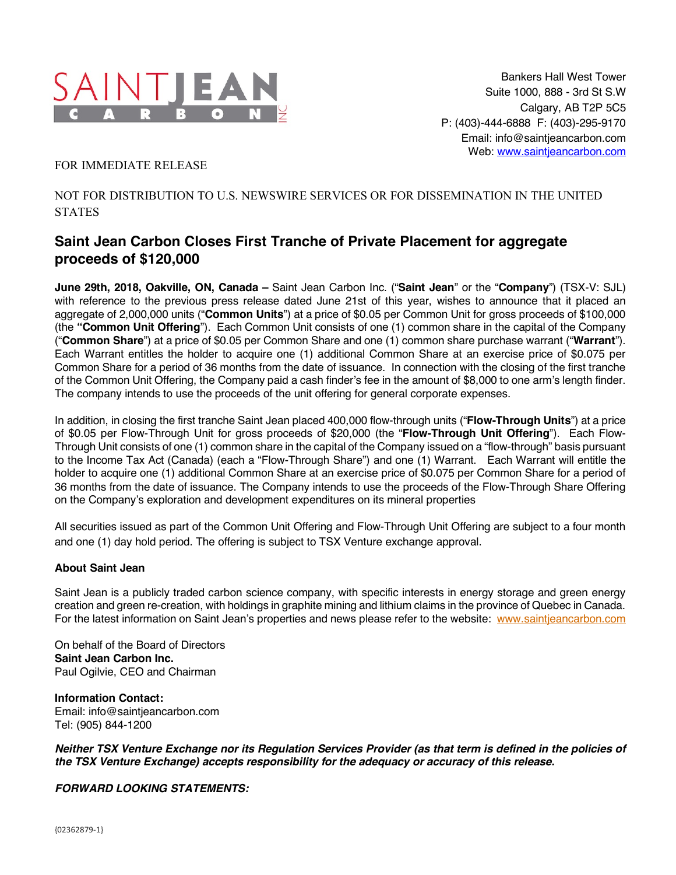

## FOR IMMEDIATE RELEASE

## NOT FOR DISTRIBUTION TO U.S. NEWSWIRE SERVICES OR FOR DISSEMINATION IN THE UNITED STATES

## **Saint Jean Carbon Closes First Tranche of Private Placement for aggregate proceeds of \$120,000**

**June 29th, 2018, Oakville, ON, Canada –** Saint Jean Carbon Inc. ("**Saint Jean**" or the "**Company**") (TSX-V: SJL) with reference to the previous press release dated June 21st of this year, wishes to announce that it placed an aggregate of 2,000,000 units ("**Common Units**") at a price of \$0.05 per Common Unit for gross proceeds of \$100,000 (the **"Common Unit Offering**"). Each Common Unit consists of one (1) common share in the capital of the Company ("**Common Share**") at a price of \$0.05 per Common Share and one (1) common share purchase warrant ("**Warrant**"). Each Warrant entitles the holder to acquire one (1) additional Common Share at an exercise price of \$0.075 per Common Share for a period of 36 months from the date of issuance. In connection with the closing of the first tranche of the Common Unit Offering, the Company paid a cash finder's fee in the amount of \$8,000 to one arm's length finder. The company intends to use the proceeds of the unit offering for general corporate expenses.

In addition, in closing the first tranche Saint Jean placed 400,000 flow-through units ("**Flow-Through Units**") at a price of \$0.05 per Flow-Through Unit for gross proceeds of \$20,000 (the "**Flow-Through Unit Offering**"). Each Flow-Through Unit consists of one (1) common share in the capital of the Company issued on a "flow-through" basis pursuant to the Income Tax Act (Canada) (each a "Flow-Through Share") and one (1) Warrant. Each Warrant will entitle the holder to acquire one (1) additional Common Share at an exercise price of \$0.075 per Common Share for a period of 36 months from the date of issuance. The Company intends to use the proceeds of the Flow-Through Share Offering on the Company's exploration and development expenditures on its mineral properties

All securities issued as part of the Common Unit Offering and Flow-Through Unit Offering are subject to a four month and one (1) day hold period. The offering is subject to TSX Venture exchange approval.

## **About Saint Jean**

Saint Jean is a publicly traded carbon science company, with specific interests in energy storage and green energy creation and green re-creation, with holdings in graphite mining and lithium claims in the province of Quebec in Canada. For the latest information on Saint Jean's properties and news please refer to the website: www.saintjeancarbon.com

On behalf of the Board of Directors **Saint Jean Carbon Inc.** Paul Ogilvie, CEO and Chairman

**Information Contact:** Email: info@saintjeancarbon.com Tel: (905) 844-1200

*Neither TSX Venture Exchange nor its Regulation Services Provider (as that term is defined in the policies of the TSX Venture Exchange) accepts responsibility for the adequacy or accuracy of this release.*

*FORWARD LOOKING STATEMENTS:*